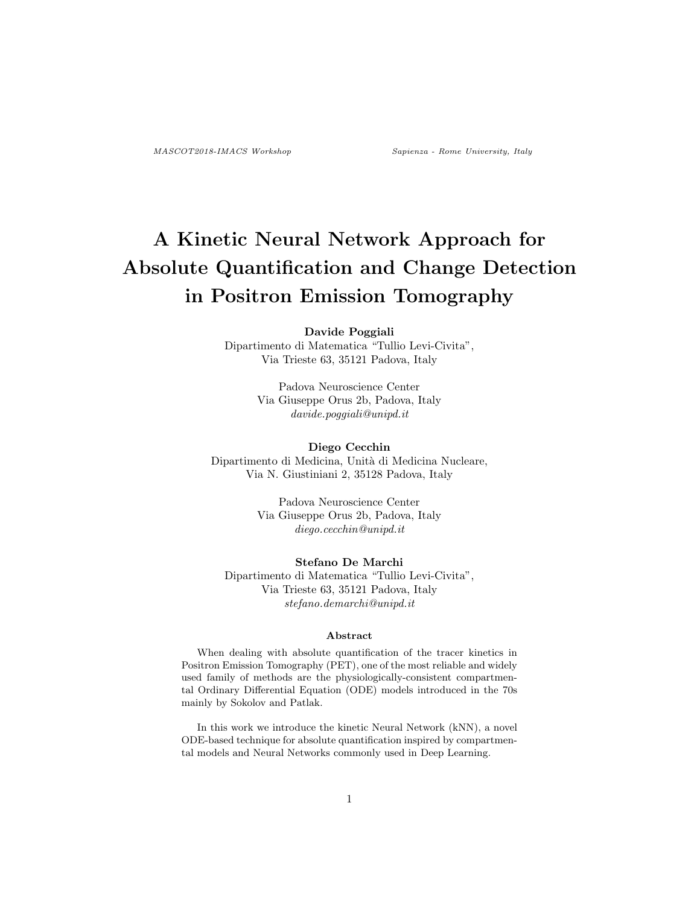# A Kinetic Neural Network Approach for Absolute Quantification and Change Detection in Positron Emission Tomography

#### Davide Poggiali

Dipartimento di Matematica "Tullio Levi-Civita", Via Trieste 63, 35121 Padova, Italy

> Padova Neuroscience Center Via Giuseppe Orus 2b, Padova, Italy davide.poggiali@unipd.it

# Diego Cecchin

Dipartimento di Medicina, Unit`a di Medicina Nucleare, Via N. Giustiniani 2, 35128 Padova, Italy

> Padova Neuroscience Center Via Giuseppe Orus 2b, Padova, Italy diego.cecchin@unipd.it

#### Stefano De Marchi

Dipartimento di Matematica "Tullio Levi-Civita", Via Trieste 63, 35121 Padova, Italy stefano.demarchi@unipd.it

#### Abstract

When dealing with absolute quantification of the tracer kinetics in Positron Emission Tomography (PET), one of the most reliable and widely used family of methods are the physiologically-consistent compartmental Ordinary Differential Equation (ODE) models introduced in the 70s mainly by Sokolov and Patlak.

In this work we introduce the kinetic Neural Network (kNN), a novel ODE-based technique for absolute quantification inspired by compartmental models and Neural Networks commonly used in Deep Learning.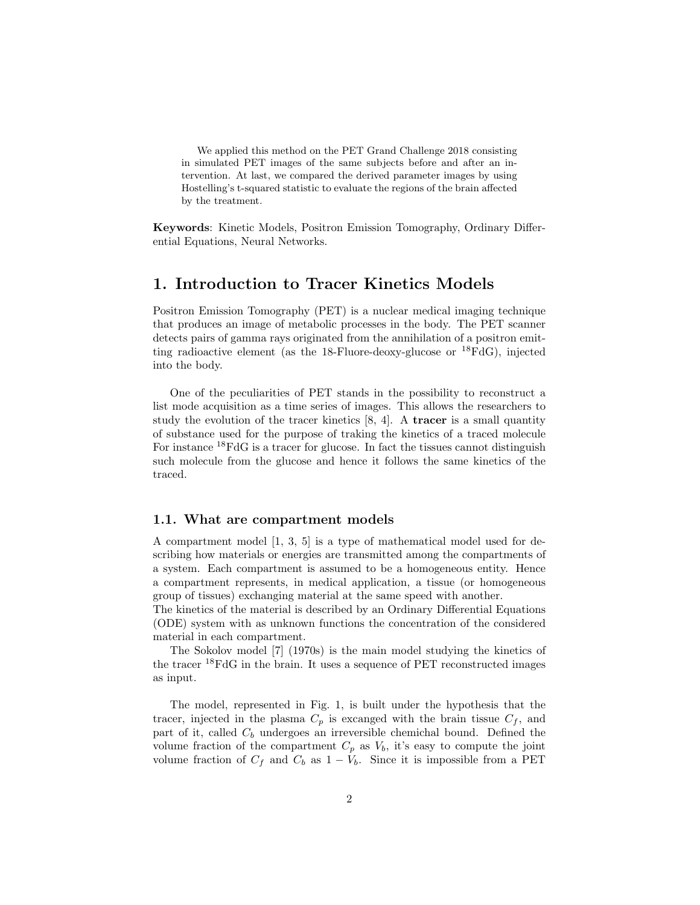We applied this method on the PET Grand Challenge 2018 consisting in simulated PET images of the same subjects before and after an intervention. At last, we compared the derived parameter images by using Hostelling's t-squared statistic to evaluate the regions of the brain affected by the treatment.

Keywords: Kinetic Models, Positron Emission Tomography, Ordinary Differential Equations, Neural Networks.

### 1. Introduction to Tracer Kinetics Models

Positron Emission Tomography (PET) is a nuclear medical imaging technique that produces an image of metabolic processes in the body. The PET scanner detects pairs of gamma rays originated from the annihilation of a positron emitting radioactive element (as the 18-Fluore-deoxy-glucose or  $^{18}$ FdG), injected into the body.

One of the peculiarities of PET stands in the possibility to reconstruct a list mode acquisition as a time series of images. This allows the researchers to study the evolution of the tracer kinetics [\[8,](#page-9-0) [4\]](#page-9-1). A tracer is a small quantity of substance used for the purpose of traking the kinetics of a traced molecule For instance <sup>18</sup>FdG is a tracer for glucose. In fact the tissues cannot distinguish such molecule from the glucose and hence it follows the same kinetics of the traced.

#### 1.1. What are compartment models

A compartment model [\[1,](#page-9-2) [3,](#page-9-3) [5\]](#page-9-4) is a type of mathematical model used for describing how materials or energies are transmitted among the compartments of a system. Each compartment is assumed to be a homogeneous entity. Hence a compartment represents, in medical application, a tissue (or homogeneous group of tissues) exchanging material at the same speed with another.

The kinetics of the material is described by an Ordinary Differential Equations (ODE) system with as unknown functions the concentration of the considered material in each compartment.

The Sokolov model [\[7\]](#page-9-5) (1970s) is the main model studying the kinetics of the tracer <sup>18</sup>FdG in the brain. It uses a sequence of PET reconstructed images as input.

The model, represented in Fig. [1,](#page-2-0) is built under the hypothesis that the tracer, injected in the plasma  $C_p$  is excanged with the brain tissue  $C_f$ , and part of it, called  $C_b$  undergoes an irreversible chemichal bound. Defined the volume fraction of the compartment  $C_p$  as  $V_b$ , it's easy to compute the joint volume fraction of  $C_f$  and  $C_b$  as  $1 - V_b$ . Since it is impossible from a PET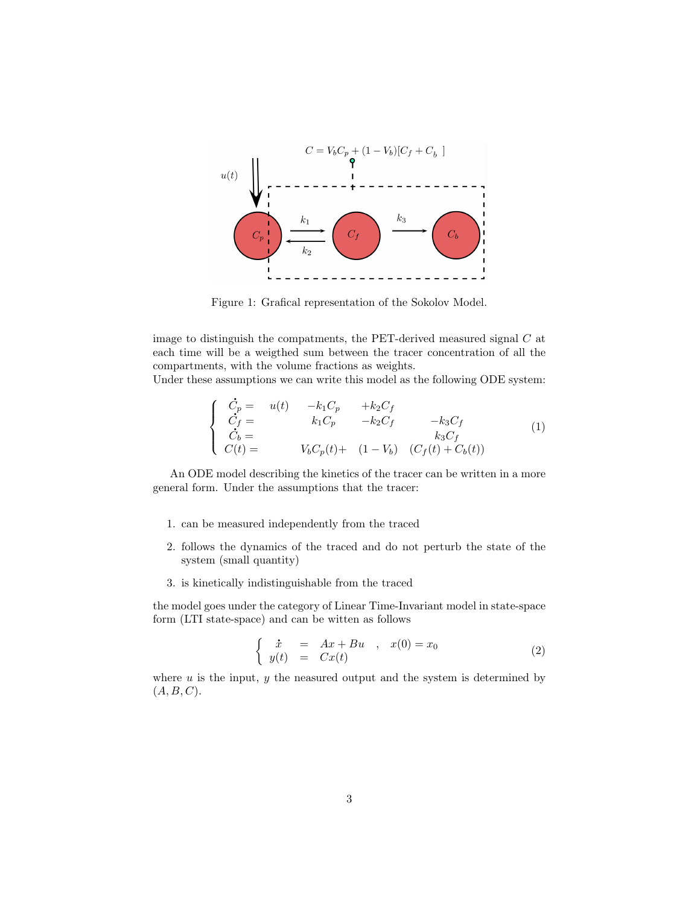

<span id="page-2-0"></span>Figure 1: Grafical representation of the Sokolov Model.

image to distinguish the compatments, the PET-derived measured signal  $C$  at each time will be a weigthed sum between the tracer concentration of all the compartments, with the volume fractions as weights.

Under these assumptions we can write this model as the following ODE system:

<span id="page-2-1"></span>
$$
\begin{cases}\n\dot{C}_p = u(t) & -k_1 C_p + k_2 C_f \\
\dot{C}_f = k_1 C_p & -k_2 C_f - k_3 C_f \\
\dot{C}_b = k_3 C_f & 0\n\end{cases}
$$
\n(1)\n
$$
V_b C_p(t) + (1 - V_b) (C_f(t) + C_b(t))
$$

An ODE model describing the kinetics of the tracer can be written in a more general form. Under the assumptions that the tracer:

- 1. can be measured independently from the traced
- 2. follows the dynamics of the traced and do not perturb the state of the system (small quantity)
- 3. is kinetically indistinguishable from the traced

the model goes under the category of Linear Time-Invariant model in state-space form (LTI state-space) and can be witten as follows

<span id="page-2-2"></span>
$$
\begin{cases}\n\dot{x} = Ax + Bu, & x(0) = x_0 \\
y(t) = Cx(t)\n\end{cases} \tag{2}
$$

where  $u$  is the input,  $y$  the neasured output and the system is determined by  $(A, B, C)$ .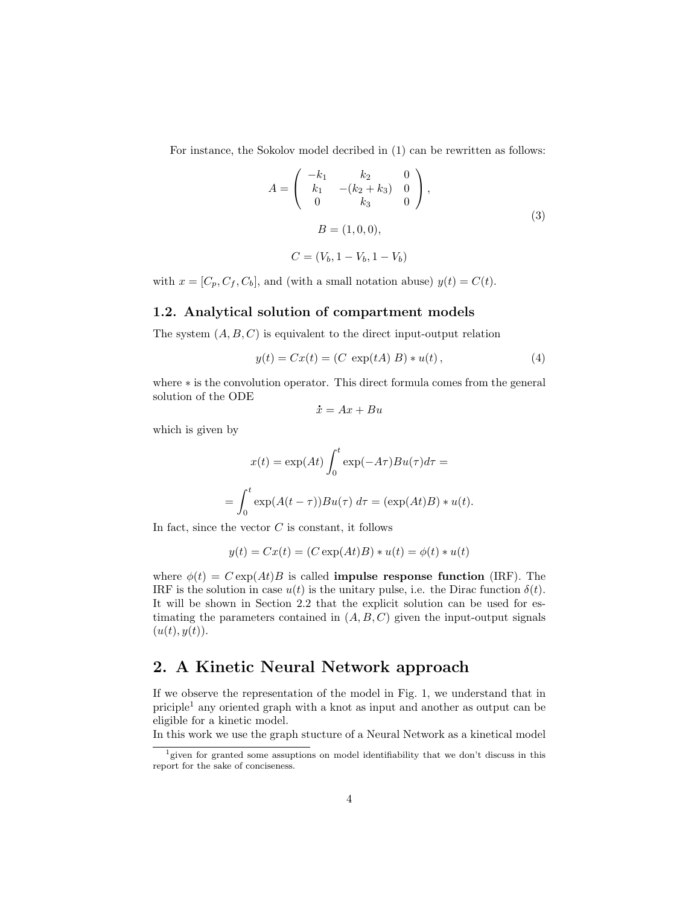For instance, the Sokolov model decribed in [\(1\)](#page-2-1) can be rewritten as follows:

$$
A = \begin{pmatrix} -k_1 & k_2 & 0 \\ k_1 & -(k_2 + k_3) & 0 \\ 0 & k_3 & 0 \end{pmatrix},
$$
  
\n
$$
B = (1, 0, 0),
$$
  
\n
$$
C = (V_b, 1 - V_b, 1 - V_b)
$$
 (3)

with  $x = [C_p, C_f, C_b]$ , and (with a small notation abuse)  $y(t) = C(t)$ .

#### 1.2. Analytical solution of compartment models

The system  $(A, B, C)$  is equivalent to the direct input-output relation

$$
y(t) = Cx(t) = (C \exp(tA) B) * u(t), \qquad (4)
$$

where ∗ is the convolution operator. This direct formula comes from the general solution of the ODE .

$$
\dot{x} = Ax + Bu
$$

which is given by

$$
x(t) = \exp(At) \int_0^t \exp(-A\tau)Bu(\tau)d\tau =
$$
  
= 
$$
\int_0^t \exp(A(t-\tau))Bu(\tau) d\tau = (\exp(At)B) * u(t).
$$

In fact, since the vector  $C$  is constant, it follows

$$
y(t) = Cx(t) = (C \exp(At)B) * u(t) = \phi(t) * u(t)
$$

where  $\phi(t) = C \exp(At)B$  is called **impulse response function** (IRF). The IRF is the solution in case  $u(t)$  is the unitary pulse, i.e. the Dirac function  $\delta(t)$ . It will be shown in Section 2.2 that the explicit solution can be used for estimating the parameters contained in  $(A, B, C)$  given the input-output signals  $(u(t), y(t)).$ 

# 2. A Kinetic Neural Network approach

If we observe the representation of the model in Fig. [1,](#page-2-0) we understand that in priciple[1](#page-3-0) any oriented graph with a knot as input and another as output can be eligible for a kinetic model.

In this work we use the graph stucture of a Neural Network as a kinetical model

<span id="page-3-0"></span><sup>&</sup>lt;sup>1</sup> given for granted some assuptions on model identifiability that we don't discuss in this report for the sake of conciseness.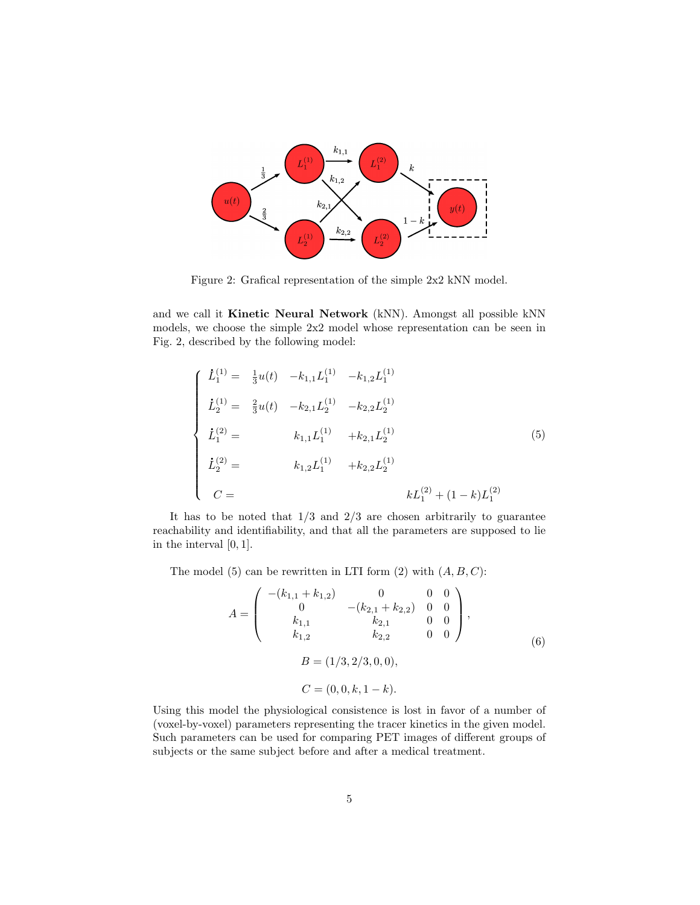

<span id="page-4-0"></span>Figure 2: Grafical representation of the simple 2x2 kNN model.

and we call it Kinetic Neural Network (kNN). Amongst all possible kNN models, we choose the simple 2x2 model whose representation can be seen in Fig. [2,](#page-4-0) described by the following model:

<span id="page-4-1"></span>
$$
\begin{cases}\n\dot{L}_1^{(1)} = \frac{1}{3}u(t) & -k_{1,1}L_1^{(1)} & -k_{1,2}L_1^{(1)} \\
\dot{L}_2^{(1)} = \frac{2}{3}u(t) & -k_{2,1}L_2^{(1)} & -k_{2,2}L_2^{(1)} \\
\dot{L}_1^{(2)} = k_{1,1}L_1^{(1)} & +k_{2,1}L_2^{(1)} \\
\dot{L}_2^{(2)} = k_{1,2}L_1^{(1)} & +k_{2,2}L_2^{(1)} \\
C = kL_1^{(2)} + (1-k)L_1^{(2)}\n\end{cases}
$$
\n(5)

It has to be noted that  $1/3$  and  $2/3$  are chosen arbitrarily to guarantee reachability and identifiability, and that all the parameters are supposed to lie in the interval [0, 1].

The model [\(5\)](#page-4-1) can be rewritten in LTI form [\(2\)](#page-2-2) with  $(A, B, C)$ :

<span id="page-4-2"></span>
$$
A = \begin{pmatrix} -(k_{1,1} + k_{1,2}) & 0 & 0 & 0 \\ 0 & -(k_{2,1} + k_{2,2}) & 0 & 0 \\ k_{1,1} & k_{2,1} & 0 & 0 \\ k_{1,2} & k_{2,2} & 0 & 0 \end{pmatrix},
$$
  
\n
$$
B = (1/3, 2/3, 0, 0),
$$
  
\n
$$
C = (0, 0, k, 1 - k).
$$
 (6)

Using this model the physiological consistence is lost in favor of a number of (voxel-by-voxel) parameters representing the tracer kinetics in the given model. Such parameters can be used for comparing PET images of different groups of subjects or the same subject before and after a medical treatment.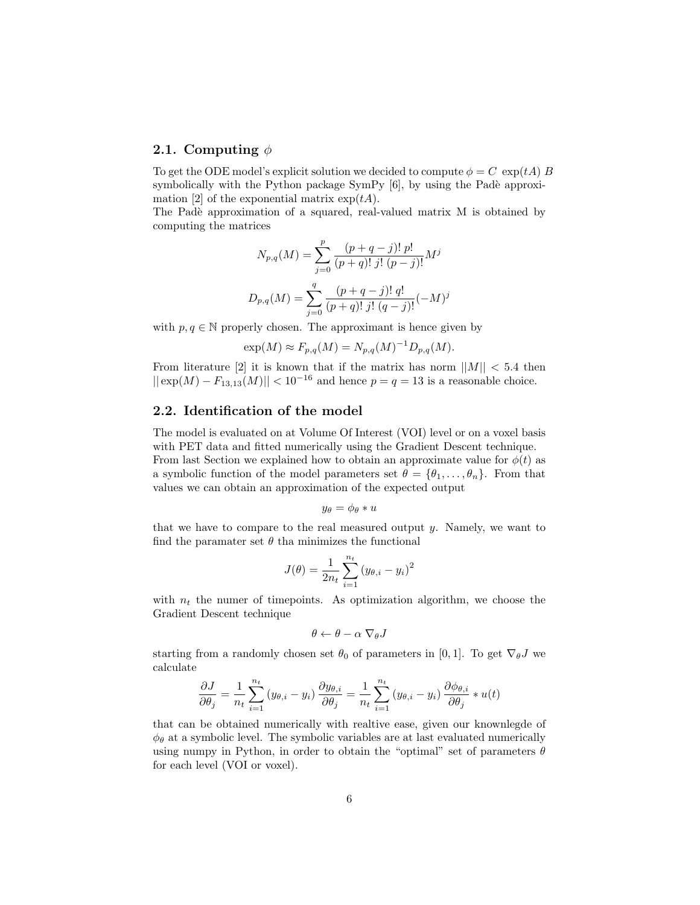#### 2.1. Computing  $\phi$

To get the ODE model's explicit solution we decided to compute  $\phi = C \exp(tA)$  B symbolically with the Python package  $SymPy$  [\[6\]](#page-9-6), by using the Padè approxi-mation [\[2\]](#page-9-7) of the exponential matrix  $\exp(tA)$ .

The Padè approximation of a squared, real-valued matrix M is obtained by computing the matrices

$$
N_{p,q}(M) = \sum_{j=0}^{p} \frac{(p+q-j)! \ p!}{(p+q)! \ j! \ (p-j)!} M^j
$$

$$
D_{p,q}(M) = \sum_{j=0}^{q} \frac{(p+q-j)! \ q!}{(p+q)! \ j! \ (q-j)!} (-M)^j
$$

with  $p, q \in \mathbb{N}$  properly chosen. The approximant is hence given by

$$
\exp(M) \approx F_{p,q}(M) = N_{p,q}(M)^{-1} D_{p,q}(M).
$$

From literature [\[2\]](#page-9-7) it is known that if the matrix has norm  $||M|| < 5.4$  then  $||exp(M) - F_{13,13}(M)|| < 10^{-16}$  and hence  $p = q = 13$  is a reasonable choice.

### 2.2. Identification of the model

The model is evaluated on at Volume Of Interest (VOI) level or on a voxel basis with PET data and fitted numerically using the Gradient Descent technique. From last Section we explained how to obtain an approximate value for  $\phi(t)$  as a symbolic function of the model parameters set  $\theta = {\theta_1, \dots, \theta_n}$ . From that values we can obtain an approximation of the expected output

$$
y_{\theta} = \phi_{\theta} * u
$$

that we have to compare to the real measured output  $y$ . Namely, we want to find the paramater set  $\theta$  tha minimizes the functional

$$
J(\theta) = \frac{1}{2n_t} \sum_{i=1}^{n_t} (y_{\theta,i} - y_i)^2
$$

with  $n_t$  the numer of timepoints. As optimization algorithm, we choose the Gradient Descent technique

$$
\theta \leftarrow \theta - \alpha \; \nabla_{\theta} J
$$

starting from a randomly chosen set  $\theta_0$  of parameters in [0, 1]. To get  $\nabla_{\theta} J$  we calculate

$$
\frac{\partial J}{\partial \theta_j} = \frac{1}{n_t} \sum_{i=1}^{n_t} (y_{\theta,i} - y_i) \frac{\partial y_{\theta,i}}{\partial \theta_j} = \frac{1}{n_t} \sum_{i=1}^{n_t} (y_{\theta,i} - y_i) \frac{\partial \phi_{\theta,i}}{\partial \theta_j} * u(t)
$$

that can be obtained numerically with realtive ease, given our knownlegde of  $\phi_{\theta}$  at a symbolic level. The symbolic variables are at last evaluated numerically using numpy in Python, in order to obtain the "optimal" set of parameters  $\theta$ for each level (VOI or voxel).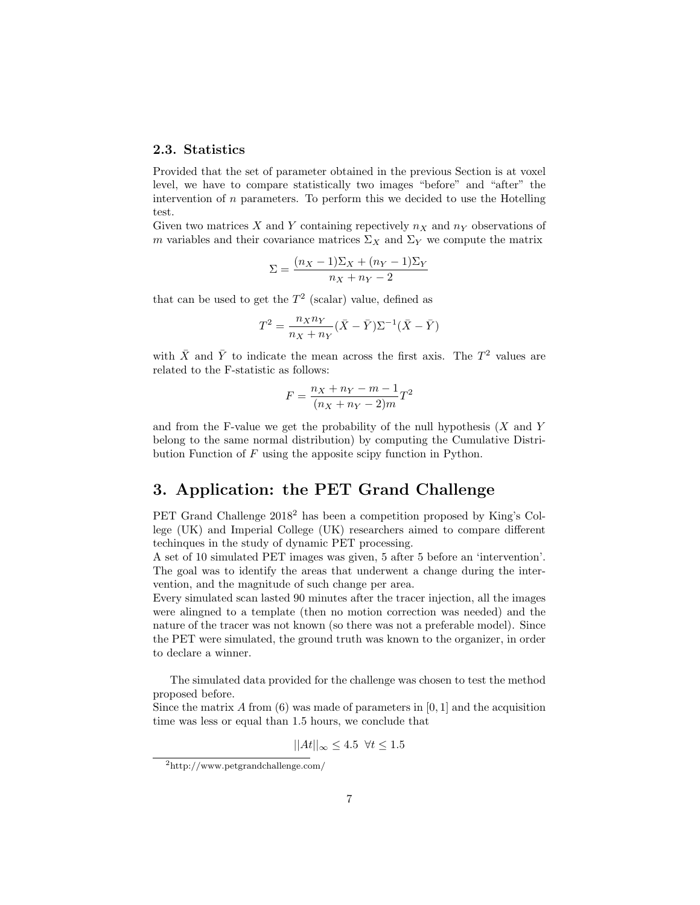#### 2.3. Statistics

Provided that the set of parameter obtained in the previous Section is at voxel level, we have to compare statistically two images "before" and "after" the intervention of  $n$  parameters. To perform this we decided to use the Hotelling test.

Given two matrices X and Y containing repectively  $n_X$  and  $n_Y$  observations of m variables and their covariance matrices  $\Sigma_X$  and  $\Sigma_Y$  we compute the matrix

$$
\Sigma = \frac{(n_X - 1)\Sigma_X + (n_Y - 1)\Sigma_Y}{n_X + n_Y - 2}
$$

that can be used to get the  $T^2$  (scalar) value, defined as

$$
T^2 = \frac{n_X n_Y}{n_X + n_Y} (\bar{X} - \bar{Y}) \Sigma^{-1} (\bar{X} - \bar{Y})
$$

with  $\bar{X}$  and  $\bar{Y}$  to indicate the mean across the first axis. The  $T^2$  values are related to the F-statistic as follows:

$$
F = \frac{n_X + n_Y - m - 1}{(n_X + n_Y - 2)m}T^2
$$

and from the F-value we get the probability of the null hypothesis  $(X \text{ and } Y)$ belong to the same normal distribution) by computing the Cumulative Distribution Function of F using the apposite scipy function in Python.

# 3. Application: the PET Grand Challenge

PET Grand Challenge  $2018^2$  $2018^2$  has been a competition proposed by King's College (UK) and Imperial College (UK) researchers aimed to compare different techinques in the study of dynamic PET processing.

A set of 10 simulated PET images was given, 5 after 5 before an 'intervention'. The goal was to identify the areas that underwent a change during the intervention, and the magnitude of such change per area.

Every simulated scan lasted 90 minutes after the tracer injection, all the images were alingned to a template (then no motion correction was needed) and the nature of the tracer was not known (so there was not a preferable model). Since the PET were simulated, the ground truth was known to the organizer, in order to declare a winner.

The simulated data provided for the challenge was chosen to test the method proposed before.

Since the matrix A from  $(6)$  was made of parameters in  $[0, 1]$  and the acquisition time was less or equal than 1.5 hours, we conclude that

$$
||At||_{\infty} \le 4.5 \ \forall t \le 1.5
$$

<span id="page-6-0"></span><sup>2</sup><http://www.petgrandchallenge.com/>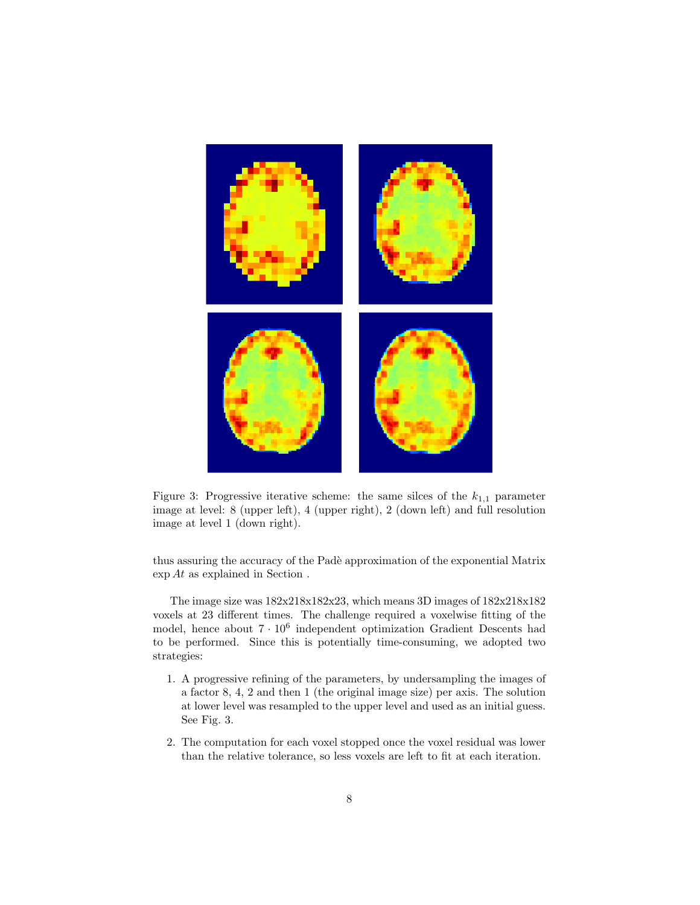

Figure 3: Progressive iterative scheme: the same silces of the  $k_{1,1}$  parameter image at level: 8 (upper left), 4 (upper right), 2 (down left) and full resolution image at level 1 (down right).

<span id="page-7-0"></span>thus assuring the accuracy of the Padè approximation of the exponential Matrix exp At as explained in Section .

The image size was 182x218x182x23, which means 3D images of 182x218x182 voxels at 23 different times. The challenge required a voxelwise fitting of the model, hence about  $7 \cdot 10^6$  independent optimization Gradient Descents had to be performed. Since this is potentially time-consuming, we adopted two strategies:

- 1. A progressive refining of the parameters, by undersampling the images of a factor 8, 4, 2 and then 1 (the original image size) per axis. The solution at lower level was resampled to the upper level and used as an initial guess. See Fig. [3.](#page-7-0)
- 2. The computation for each voxel stopped once the voxel residual was lower than the relative tolerance, so less voxels are left to fit at each iteration.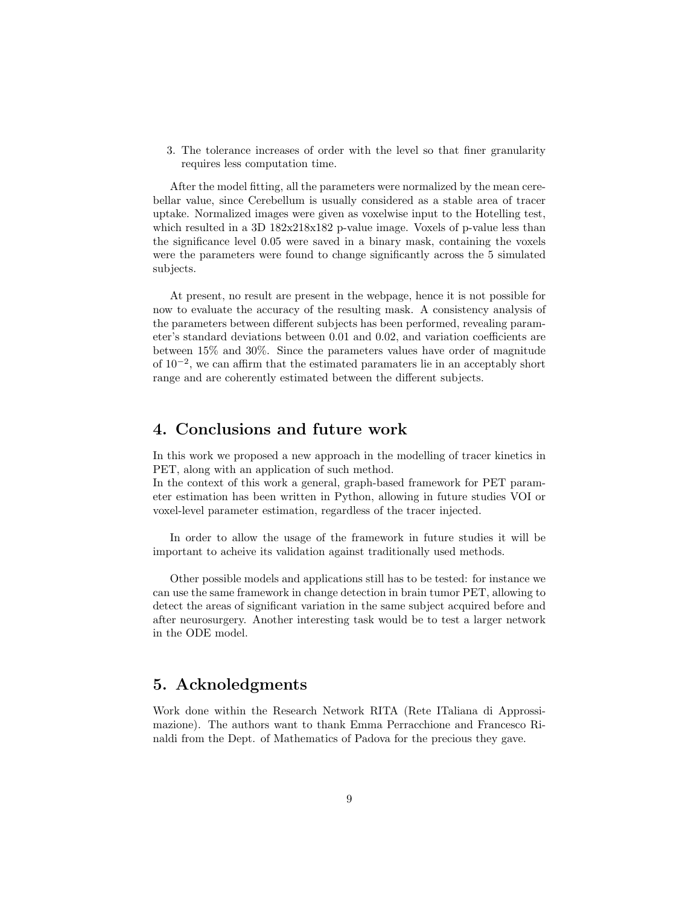3. The tolerance increases of order with the level so that finer granularity requires less computation time.

After the model fitting, all the parameters were normalized by the mean cerebellar value, since Cerebellum is usually considered as a stable area of tracer uptake. Normalized images were given as voxelwise input to the Hotelling test, which resulted in a 3D  $182x218x182$  p-value image. Voxels of p-value less than the significance level 0.05 were saved in a binary mask, containing the voxels were the parameters were found to change significantly across the 5 simulated subjects.

At present, no result are present in the webpage, hence it is not possible for now to evaluate the accuracy of the resulting mask. A consistency analysis of the parameters between different subjects has been performed, revealing parameter's standard deviations between 0.01 and 0.02, and variation coefficients are between 15% and 30%. Since the parameters values have order of magnitude of 10<sup>−</sup><sup>2</sup> , we can affirm that the estimated paramaters lie in an acceptably short range and are coherently estimated between the different subjects.

### 4. Conclusions and future work

In this work we proposed a new approach in the modelling of tracer kinetics in PET, along with an application of such method.

In the context of this work a general, graph-based framework for PET parameter estimation has been written in Python, allowing in future studies VOI or voxel-level parameter estimation, regardless of the tracer injected.

In order to allow the usage of the framework in future studies it will be important to acheive its validation against traditionally used methods.

Other possible models and applications still has to be tested: for instance we can use the same framework in change detection in brain tumor PET, allowing to detect the areas of significant variation in the same subject acquired before and after neurosurgery. Another interesting task would be to test a larger network in the ODE model.

### 5. Acknoledgments

Work done within the Research Network RITA (Rete ITaliana di Approssimazione). The authors want to thank Emma Perracchione and Francesco Rinaldi from the Dept. of Mathematics of Padova for the precious they gave.